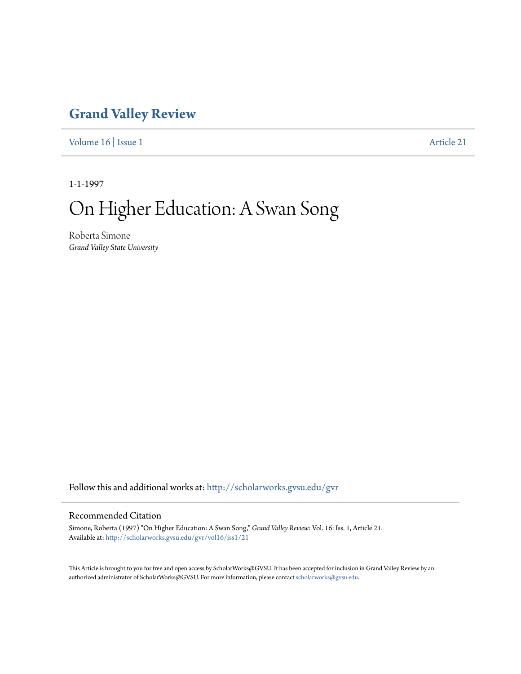## **[Grand Valley Review](http://scholarworks.gvsu.edu/gvr?utm_source=scholarworks.gvsu.edu%2Fgvr%2Fvol16%2Fiss1%2F21&utm_medium=PDF&utm_campaign=PDFCoverPages)**

[Volume 16](http://scholarworks.gvsu.edu/gvr/vol16?utm_source=scholarworks.gvsu.edu%2Fgvr%2Fvol16%2Fiss1%2F21&utm_medium=PDF&utm_campaign=PDFCoverPages) | [Issue 1](http://scholarworks.gvsu.edu/gvr/vol16/iss1?utm_source=scholarworks.gvsu.edu%2Fgvr%2Fvol16%2Fiss1%2F21&utm_medium=PDF&utm_campaign=PDFCoverPages) [Article 21](http://scholarworks.gvsu.edu/gvr/vol16/iss1/21?utm_source=scholarworks.gvsu.edu%2Fgvr%2Fvol16%2Fiss1%2F21&utm_medium=PDF&utm_campaign=PDFCoverPages)

1-1-1997

# On Higher Education: A Swan Song

Roberta Simone *Grand Valley State University*

Follow this and additional works at: [http://scholarworks.gvsu.edu/gvr](http://scholarworks.gvsu.edu/gvr?utm_source=scholarworks.gvsu.edu%2Fgvr%2Fvol16%2Fiss1%2F21&utm_medium=PDF&utm_campaign=PDFCoverPages)

#### Recommended Citation

Simone, Roberta (1997) "On Higher Education: A Swan Song," *Grand Valley Review*: Vol. 16: Iss. 1, Article 21. Available at: [http://scholarworks.gvsu.edu/gvr/vol16/iss1/21](http://scholarworks.gvsu.edu/gvr/vol16/iss1/21?utm_source=scholarworks.gvsu.edu%2Fgvr%2Fvol16%2Fiss1%2F21&utm_medium=PDF&utm_campaign=PDFCoverPages)

This Article is brought to you for free and open access by ScholarWorks@GVSU. It has been accepted for inclusion in Grand Valley Review by an authorized administrator of ScholarWorks@GVSU. For more information, please contact [scholarworks@gvsu.edu.](mailto:scholarworks@gvsu.edu)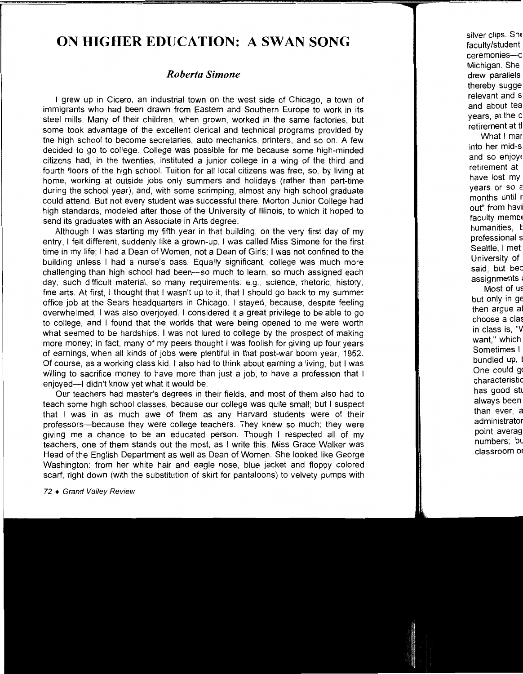### **ON HIGHER EDUCATION: A SWAN SONG**

#### *Roberta Simone*

I grew up in Cicero, an industrial town on the west side of Chicago, a town of immigrants who had been drawn from Eastern and Southern Europe to work in its steel mills. Many of their children, when grown, worked in the same factories, but some took advantage of the excellent clerical and technical programs provided by the high school to become secretaries, auto mechanics, printers, and so on. A few decided to go to college. College was possible for me because some high-minded citizens had, in the twenties, instituted a junior college in a wing of the third and fourth floors of the high school. Tuition for all local citizens was free, so, by living at home, working at outside jobs only summers and holidays (rather than part-time during the school year), and, with some scrimping, almost any high school graduate could attend. But not every student was successful there. Morton Junior College had high standards, modeled after those of the University of Illinois, to which it hoped to send its graduates with an Associate in Arts degree.

Although I was starting my fifth year in that building, on the very first day of my entry, I felt different, suddenly like a grown-up. I was called Miss Simone for the first time in my life; I had a Dean of Women, not a Dean of Girls; I was not confined to the building unless I had a nurse's pass. Equally significant, college was much more challenging than high school had been-so much to learn, so much assigned each day, such difficult material, so many requirements: e.g., science, rhetoric, history, fine arts. At first, I thought that I wasn't up to it, that I should go back to my summer office job at the Sears headquarters in Chicago. I stayed, because, despite feeling overwhelmed, I was also overjoyed. I considered it a great privilege to be able to go to college, and I found that the worlds that were being opened to me were worth what seemed to be hardships. I was not lured to college by the prospect of making more money; in fact, many of my peers thought I was foolish for giving up four years of earnings, when all kinds of jobs were plentiful in that post-war boom year, 1952. Of course, as a working class kid, I also had to think about earning a living, but 1 was willing to sacrifice money to have more than just a job, to have a profession that I enjoyed---I didn't know yet what it would be.

Our teachers had master's degrees in their fields, and most of them also had to teach some high school classes, because our college was quite small; but I suspect that I was in as much awe of them as any Harvard students were of their professors-because they were college teachers. They knew so much; they were giving me a chance to be an educated person. Though I respected all of my teachers, one of them stands out the most, as I write this. Miss Grace Walker was Head of the English Department as well as Dean of Women. She looked like George Washington: from her white hair and eagle nose, blue jacket and floppy colored scarf, right down (with the substitution of skirt for pantaloons) to velvety pumps with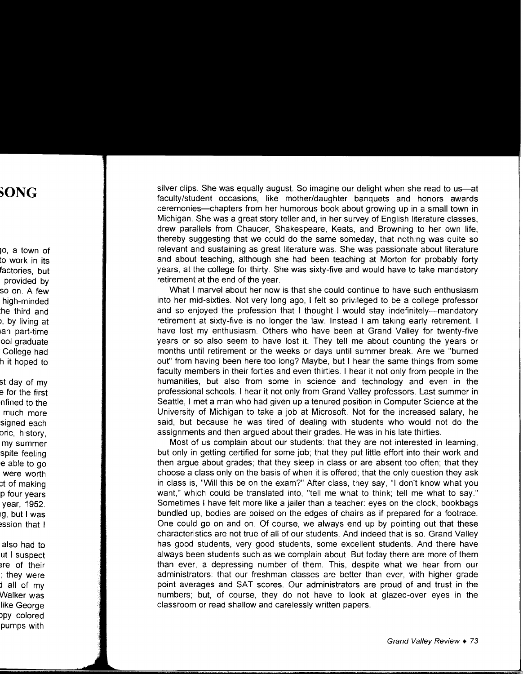silver clips. She was equally august. So imagine our delight when she read to us-at faculty/student occasions, like mother/daughter banquets and honors awards ceremonies-chapters from her humorous book about growing up in a small town in Michigan. She was a great story teller and, in her survey of English literature classes, drew parallels from Chaucer, Shakespeare, Keats, and Browning to her own life, thereby suggesting that we could do the same someday, that nothing was quite so relevant and sustaining as great literature was. She was passionate about literature and about teaching, although she had been teaching at Morton for probably forty years, at the college for thirty. She was sixty-five and would have to take mandatory retirement at the end of the year.

What I marvel about her now is that she could continue to have such enthusiasm into her mid-sixties. Not very long ago, I felt so privileged to be a college professor and so enjoyed the profession that I thought I would stay indefinitely---mandatory retirement at sixty-five is no longer the law. Instead I am taking early retirement. I have lost my enthusiasm. Others who have been at Grand Valley for twenty-five years or so also seem to have lost it. They tell me about counting the years or months until retirement or the weeks or days until summer break. Are we "burned out" from having been here too long? Maybe, but I hear the same things from some faculty members in their forties and even thirties. I hear it not only from people in the humanities, but also from some in science and technology and even in the professional schools. I hear it not only from Grand Valley professors. Last summer in Seattle, I met a man who had given up a tenured position in Computer Science at the University of Michigan to take a job at Microsoft. Not for the increased salary, he said, but because he was tired of dealing with students who would not do the assignments and then argued about their grades. He was in his late thirties.

Most of us complain about our students: that they are not interested in learning, but only in getting certified for some job; that they put little effort into their work and then argue about grades; that they sleep in class or are absent too often; that they choose a class only on the basis of when it is offered; that the only question they ask in class is, "Will this be on the exam?" After class, they say, "I don't know what you want," which could be translated into, "tell me what to think; tell me what to say." Sometimes I have felt more like a jailer than a teacher: eyes on the clock, bookbags bundled up, bodies are poised on the edges of chairs as if prepared for a footrace. One could go on and on. Of course, we always end up by pointing out that these characteristics are not true of all of our students. And indeed that is so. Grand Valley has good students, very good students, some excellent students. And there have always been students such as we complain about. But today there are more of them than ever, a depressing number of them. This, despite what we hear from our administrators: that our freshman classes are better than ever, with higher grade point averages and SAT scores. Our administrators are proud of and trust in the numbers; but, of course, they do not have to look at glazed-over eyes in the classroom or read shallow and carelessly written papers.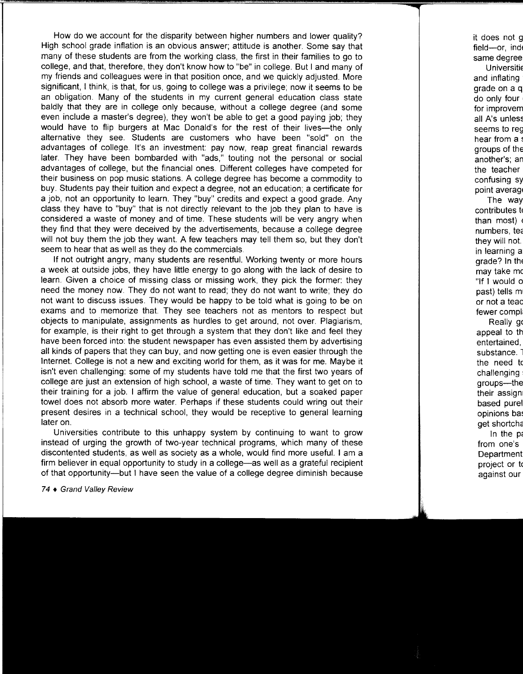How do we account for the disparity between higher numbers and lower quality? High school grade inflation is an obvious answer; attitude is another. Some say that many of these students are from the working class, the first in their families to go to college, and that, therefore, they don't know how to "be" in college. But I and many of my friends and colleagues were in that position once, and we quickly adjusted. More significant, I think, is that, for us, going to college was a privilege; now it seems to be an obligation. Many of the students in my current general education class state baldly that they are in college only because, without a college degree (and some even include a master's degree), they won't be able to get a good paying job; they would have to flip burgers at Mac Donald's for the rest of their lives--the only alternative they see. Students are customers who have been "sold" on the advantages of college. It's an investment: pay now, reap great financial rewards later. They have been bombarded with "ads," touting not the personal or social advantages of college, but the financial ones. Different colleges have competed for their business on pop music stations. A college degree has become a commodity to buy. Students pay their tuition and expect a degree, not an education; a certificate for a job, not an opportunity to learn. They "buy" credits and expect a good grade. Any class they have to "buy" that is not directly relevant to the job they plan to have is considered a waste of money and of time. These students will be very angry when they find that they were deceived by the advertisements, because a college degree will not buy them the job they want. A few teachers may tell them so, but they don't seem to hear that as well as they do the commercials.

If not outright angry, many students are resentful. Working twenty or more hours a week at outside jobs, they have little energy to go along with the lack of desire to learn. Given a choice of missing class or missing work, they pick the former: they need the money now. They do not want to read; they do not want to write; they do not want to discuss issues. They would be happy to be told what is going to be on exams and to memorize that. They see teachers not as mentors to respect but objects to manipulate, assignments as hurdles to get around, not over. Plagiarism, for example, is their right to get through a system that they don't like and feel they have been forced into: the student newspaper has even assisted them by advertising all kinds of papers that they can buy, and now getting one is even easier through the Internet. College is not a new and exciting world for them, as it was for me. Maybe it isn't even challenging: some of my students have told me that the first two years of college are just an extension of high school, a waste of time. They want to get on to their training for a job. I affirm the value of general education, but a soaked paper towel does not absorb more water. Perhaps if these students could wring out their present desires in a technical school, they would be receptive to general learning later on.

Universities contribute to this unhappy system by continuing to want to grow instead of urging the growth of two-year technical programs, which many of these discontented students, as well as society as a whole, would find more useful. I am a firm believer in equal opportunity to study in a college-as well as a grateful recipient of that opportunity-but I have seen the value of a college degree diminish because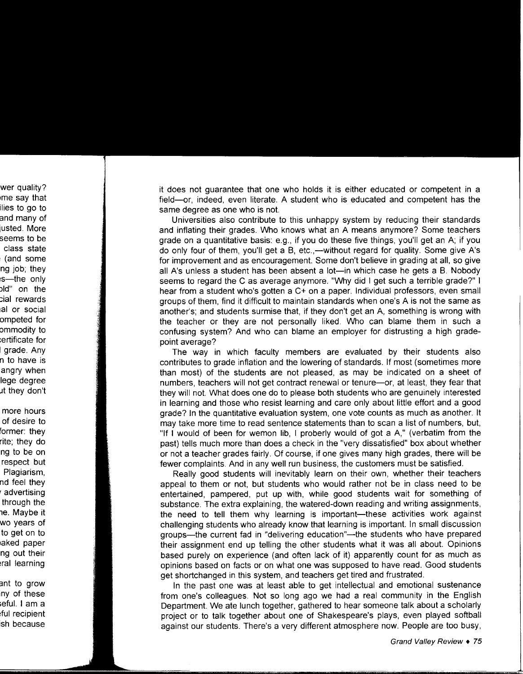it does not guarantee that one who holds it is either educated or competent in a field-or, indeed, even literate. A student who is educated and competent has the same degree as one who is not.

Universities also contribute to this unhappy system by reducing their standards and inflating their grades. Who knows what an A means anymore? Some teachers grade on a quantitative basis: e.g., if you do these five things, you'll get an A; if you do only four of them, you'll get a B, etc.,—without regard for quality. Some give A's for improvement and as encouragement. Some don't believe in grading at all, so give all A's unless a student has been absent a lot—in which case he gets a B. Nobody seems to regard the C as average anymore. "Why did I get such a terrible grade?" I hear from a student who's gotten a C+ on a paper. Individual professors, even small groups of them, find it difficult to maintain standards when one's A is not the same as another's; and students surmise that, if they don't get an A, something is wrong with the teacher or they are not personally liked. Who can blame them in such a confusing system? And who can blame an employer for distrusting a high gradepoint average?

The way in which faculty members are evaluated by their students also contributes to grade inflation and the lowering of standards. If most (sometimes more than most) of the students are not pleased, as may be indicated on a sheet of numbers, teachers will not get contract renewal or tenure-or, at least, they fear that they will not. What does one do to please both students who are genuinely interested in learning and those who resist learning and care only about little effort and a good grade? In the quantitative evaluation system, one vote counts as much as another. It may take more time to read sentence statements than to scan a list of numbers, but, "If I would of been for wemon lib, I proberly would of got a A," (verbatim from the past) tells much more than does a check in the "very dissatisfied" box about whether or not a teacher grades fairly. Of course, if one gives many high grades, there will be fewer complaints. And in any well run business, the customers must be satisfied.

Really good students will inevitably learn on their own, whether their teachers appeal to them or not, but students who would rather not be in class need to be entertained, pampered, put up with, while good students wait for something of substance. The extra explaining, the watered-down reading and writing assignments, the need to tell them why learning is important—these activities work against challenging students who already know that learning is important. In small discussion groups-the current fad in "delivering education"--the students who have prepared their assignment end up telling the other students what it was all about. Opinions based purely on experience (and often lack of it) apparently count for as much as opinions based on facts or on what one was supposed to have read. Good students get shortchanged in this system, and teachers get tired and frustrated.

In the past one was at least able to get intellectual and emotional sustenance from one's colleagues. Not so long ago we had a real community in the English Department. We ate lunch together, gathered to hear someone talk about a scholarly project or to talk together about one of Shakespeare's plays, even played softball against our students. There's a very different atmosphere now. People are too busy,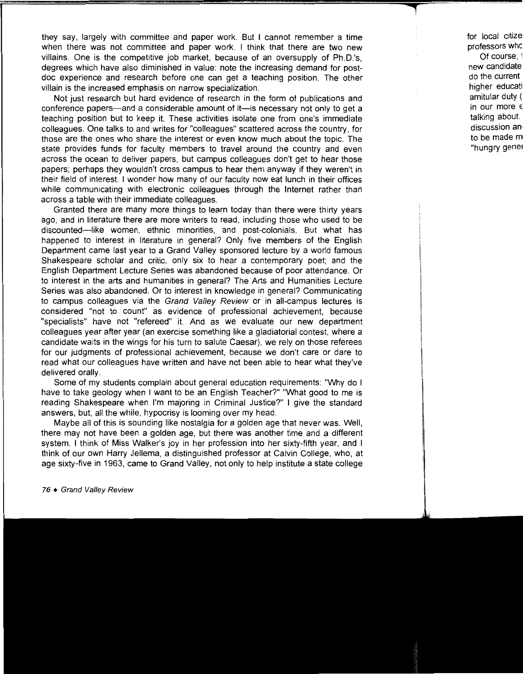they say, largely with committee and paper work. But I cannot remember a time when there was not committee and paper work. I think that there are two new villains. One is the competitive job market, because of an oversupply of Ph.D.'s, degrees which have also diminished in value: note the increasing demand for postdoc experience and research before one can get a teaching position. The other villain is the increased emphasis on narrow specialization.

Not just research but hard evidence of research in the form of publications and conference papers-and a considerable amount of it-is necessary not only to get a teaching position but to keep it. These activities isolate one from one's immediate colleagues. One talks to and writes for "colleagues" scattered across the country, for those are the ones who share the interest or even know much about the topic. The state provides funds for faculty members to travel around the country and even across the ocean to deliver papers, but campus colleagues don't get to hear those papers; perhaps they wouldn't cross campus to hear them anyway if they weren't in their field of interest. I wonder how many of our faculty now eat lunch in their offices while communicating with electronic colleagues through the Internet rather than across a table with their immediate colleagues.

Granted there are many more things to learn today than there were thirty years ago, and in literature there are more writers to read, including those who used to be discounted-like women, ethnic minorities, and post-colonials. But what has happened to interest in literature in general? Only five members of the English Department came last year to a Grand Valley sponsored lecture by a world famous Shakespeare scholar and critic, only six to hear a contemporary poet; and the English Department Lecture Series was abandoned because of poor attendance. Or to interest in the arts and humanities in general? The Arts and Humanities Lecture Series was also abandoned. Or to interest in knowledge in general? Communicating to campus colleagues via the Grand Valley Review or in all-campus lectures is considered "not to count" as evidence of professional achievement, because "specialists" have not "refereed" it. And as we evaluate our new department colleagues year after year (an exercise something like a gladiatorial contest, where a candidate waits in the wings for his turn to salute Caesar), we rely on those referees for our judgments of professional achievement, because we don't care or dare to read what our colleagues have written and have not been able to hear what they've delivered orally.

Some of my students complain about general education requirements: "Why do I have to take geology when I want to be an English Teacher?" "What good to me is reading Shakespeare when I'm majoring in Criminal Justice?" I give the standard answers, but, all the while, hypocrisy is looming over my head.

Maybe all of this is sounding like nostalgia for a golden age that never was. Well, there may not have been a golden age, but there was another time and a different system. I think of Miss Walker's joy in her profession into her sixty-fifth year, and I think of our own Harry Jellema, a distinguished professor at Calvin College, who, at age sixty-five in 1963, came to Grand Valley, not only to help institute a state college